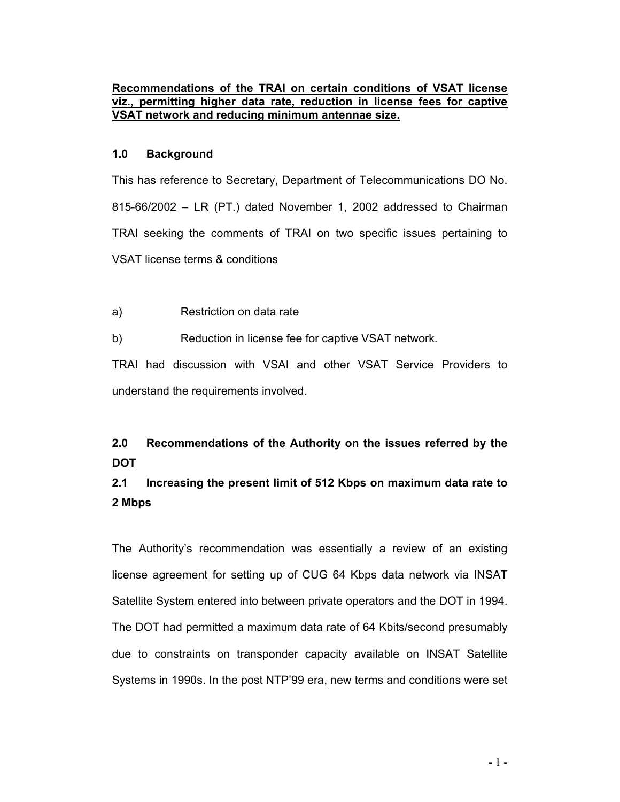### **Recommendations of the TRAI on certain conditions of VSAT license viz., permitting higher data rate, reduction in license fees for captive VSAT network and reducing minimum antennae size.**

### **1.0 Background**

This has reference to Secretary, Department of Telecommunications DO No. 815-66/2002 – LR (PT.) dated November 1, 2002 addressed to Chairman TRAI seeking the comments of TRAI on two specific issues pertaining to VSAT license terms & conditions

a) Restriction on data rate

b) Reduction in license fee for captive VSAT network.

TRAI had discussion with VSAI and other VSAT Service Providers to understand the requirements involved.

## **2.0 Recommendations of the Authority on the issues referred by the DOT**

## **2.1 Increasing the present limit of 512 Kbps on maximum data rate to 2 Mbps**

The Authority's recommendation was essentially a review of an existing license agreement for setting up of CUG 64 Kbps data network via INSAT Satellite System entered into between private operators and the DOT in 1994. The DOT had permitted a maximum data rate of 64 Kbits/second presumably due to constraints on transponder capacity available on INSAT Satellite Systems in 1990s. In the post NTP'99 era, new terms and conditions were set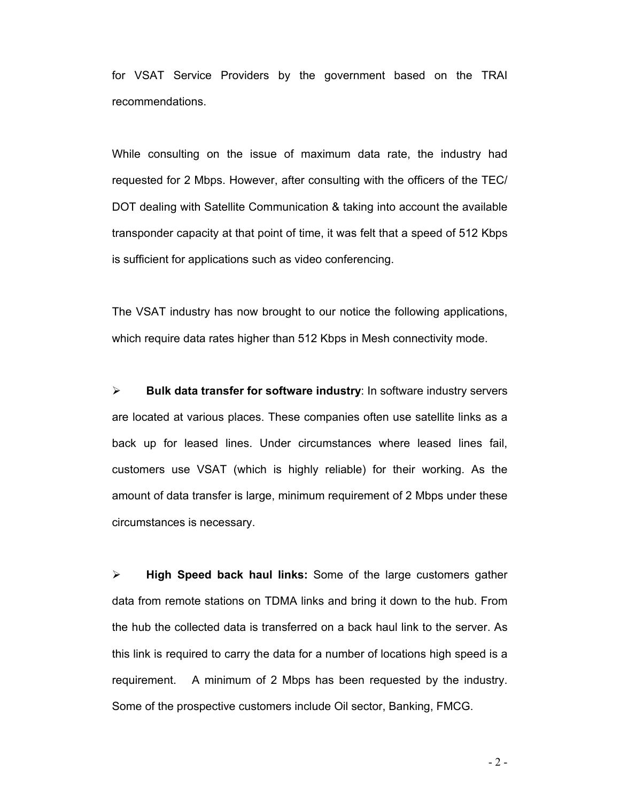for VSAT Service Providers by the government based on the TRAI recommendations.

While consulting on the issue of maximum data rate, the industry had requested for 2 Mbps. However, after consulting with the officers of the TEC/ DOT dealing with Satellite Communication & taking into account the available transponder capacity at that point of time, it was felt that a speed of 512 Kbps is sufficient for applications such as video conferencing.

The VSAT industry has now brought to our notice the following applications, which require data rates higher than 512 Kbps in Mesh connectivity mode.

¾ **Bulk data transfer for software industry**: In software industry servers are located at various places. These companies often use satellite links as a back up for leased lines. Under circumstances where leased lines fail, customers use VSAT (which is highly reliable) for their working. As the amount of data transfer is large, minimum requirement of 2 Mbps under these circumstances is necessary.

¾ **High Speed back haul links:** Some of the large customers gather data from remote stations on TDMA links and bring it down to the hub. From the hub the collected data is transferred on a back haul link to the server. As this link is required to carry the data for a number of locations high speed is a requirement. A minimum of 2 Mbps has been requested by the industry. Some of the prospective customers include Oil sector, Banking, FMCG.

 $-2-$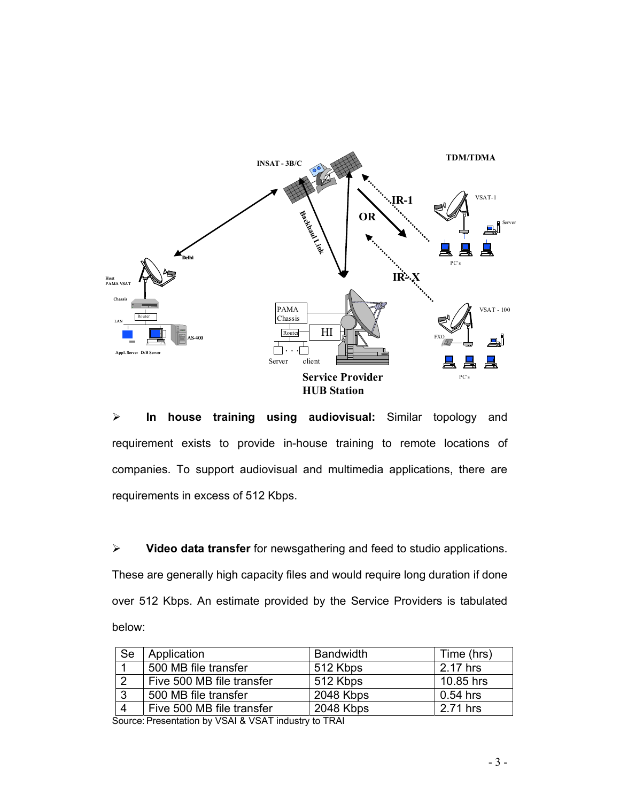

¾ **In house training using audiovisual:** Similar topology and requirement exists to provide in-house training to remote locations of companies. To support audiovisual and multimedia applications, there are requirements in excess of 512 Kbps.

¾ **Video data transfer** for newsgathering and feed to studio applications. These are generally high capacity files and would require long duration if done over 512 Kbps. An estimate provided by the Service Providers is tabulated below:

| Se | Application               | <b>Bandwidth</b> | Time (hrs) |
|----|---------------------------|------------------|------------|
|    | 500 MB file transfer      | 512 Kbps         | 2.17 hrs   |
| ົ  | Five 500 MB file transfer | 512 Kbps         | 10.85 hrs  |
| າ  | 500 MB file transfer      | 2048 Kbps        | $0.54$ hrs |
|    | Five 500 MB file transfer | 2048 Kbps        | 2.71 hrs   |

Source: Presentation by VSAI & VSAT industry to TRAI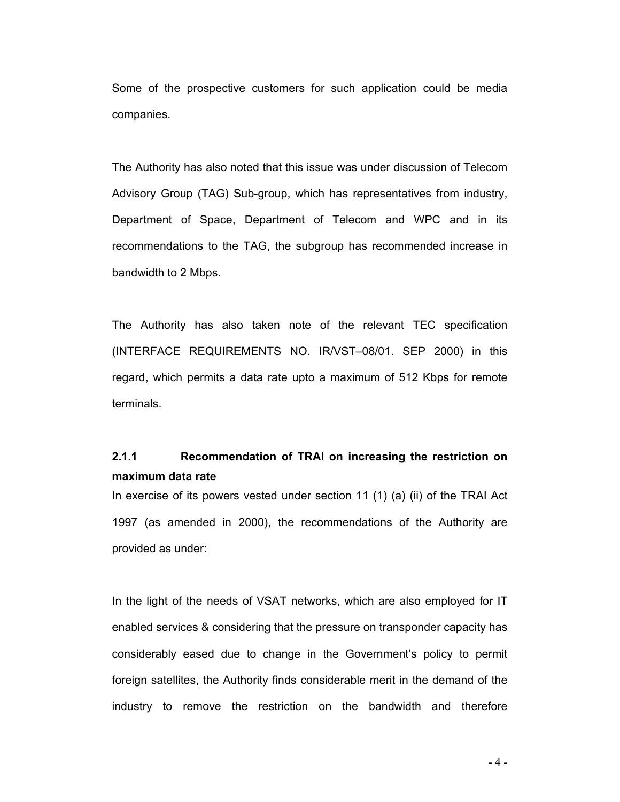Some of the prospective customers for such application could be media companies.

The Authority has also noted that this issue was under discussion of Telecom Advisory Group (TAG) Sub-group, which has representatives from industry, Department of Space, Department of Telecom and WPC and in its recommendations to the TAG, the subgroup has recommended increase in bandwidth to 2 Mbps.

The Authority has also taken note of the relevant TEC specification (INTERFACE REQUIREMENTS NO. IR/VST–08/01. SEP 2000) in this regard, which permits a data rate upto a maximum of 512 Kbps for remote terminals.

### **2.1.1 Recommendation of TRAI on increasing the restriction on maximum data rate**

In exercise of its powers vested under section 11 (1) (a) (ii) of the TRAI Act 1997 (as amended in 2000), the recommendations of the Authority are provided as under:

In the light of the needs of VSAT networks, which are also employed for IT enabled services & considering that the pressure on transponder capacity has considerably eased due to change in the Government's policy to permit foreign satellites, the Authority finds considerable merit in the demand of the industry to remove the restriction on the bandwidth and therefore

- 4 -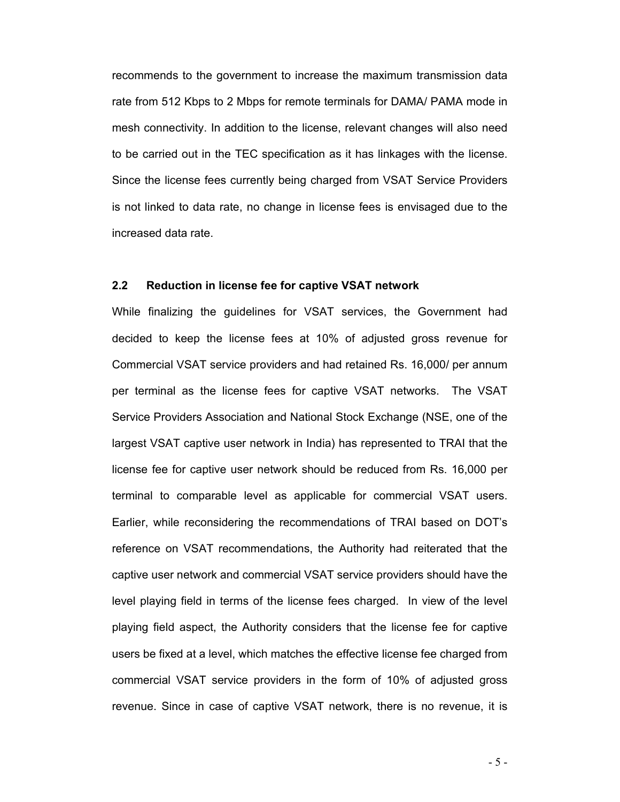recommends to the government to increase the maximum transmission data rate from 512 Kbps to 2 Mbps for remote terminals for DAMA/ PAMA mode in mesh connectivity. In addition to the license, relevant changes will also need to be carried out in the TEC specification as it has linkages with the license. Since the license fees currently being charged from VSAT Service Providers is not linked to data rate, no change in license fees is envisaged due to the increased data rate.

### **2.2 Reduction in license fee for captive VSAT network**

While finalizing the guidelines for VSAT services, the Government had decided to keep the license fees at 10% of adjusted gross revenue for Commercial VSAT service providers and had retained Rs. 16,000/ per annum per terminal as the license fees for captive VSAT networks. The VSAT Service Providers Association and National Stock Exchange (NSE, one of the largest VSAT captive user network in India) has represented to TRAI that the license fee for captive user network should be reduced from Rs. 16,000 per terminal to comparable level as applicable for commercial VSAT users. Earlier, while reconsidering the recommendations of TRAI based on DOT's reference on VSAT recommendations, the Authority had reiterated that the captive user network and commercial VSAT service providers should have the level playing field in terms of the license fees charged. In view of the level playing field aspect, the Authority considers that the license fee for captive users be fixed at a level, which matches the effective license fee charged from commercial VSAT service providers in the form of 10% of adjusted gross revenue. Since in case of captive VSAT network, there is no revenue, it is

 $-5 -$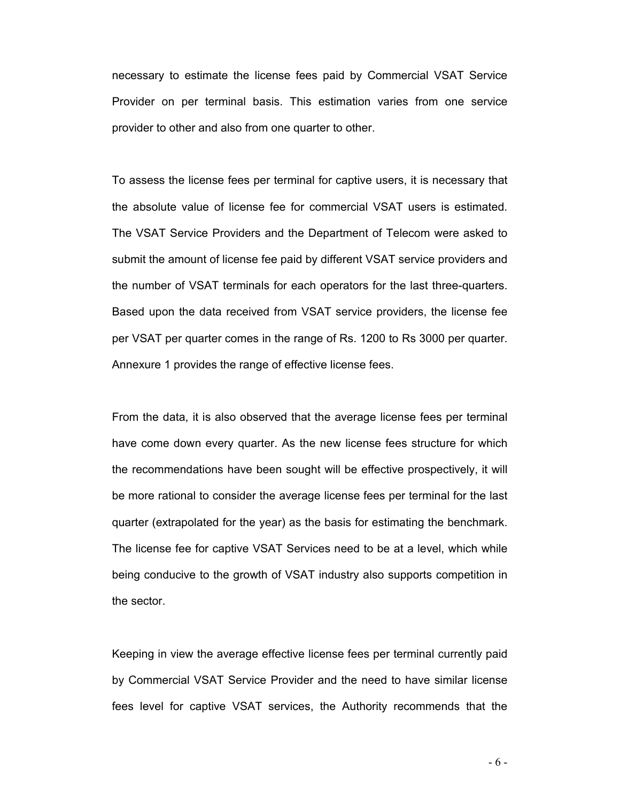necessary to estimate the license fees paid by Commercial VSAT Service Provider on per terminal basis. This estimation varies from one service provider to other and also from one quarter to other.

To assess the license fees per terminal for captive users, it is necessary that the absolute value of license fee for commercial VSAT users is estimated. The VSAT Service Providers and the Department of Telecom were asked to submit the amount of license fee paid by different VSAT service providers and the number of VSAT terminals for each operators for the last three-quarters. Based upon the data received from VSAT service providers, the license fee per VSAT per quarter comes in the range of Rs. 1200 to Rs 3000 per quarter. Annexure 1 provides the range of effective license fees.

From the data, it is also observed that the average license fees per terminal have come down every quarter. As the new license fees structure for which the recommendations have been sought will be effective prospectively, it will be more rational to consider the average license fees per terminal for the last quarter (extrapolated for the year) as the basis for estimating the benchmark. The license fee for captive VSAT Services need to be at a level, which while being conducive to the growth of VSAT industry also supports competition in the sector.

Keeping in view the average effective license fees per terminal currently paid by Commercial VSAT Service Provider and the need to have similar license fees level for captive VSAT services, the Authority recommends that the

- 6 -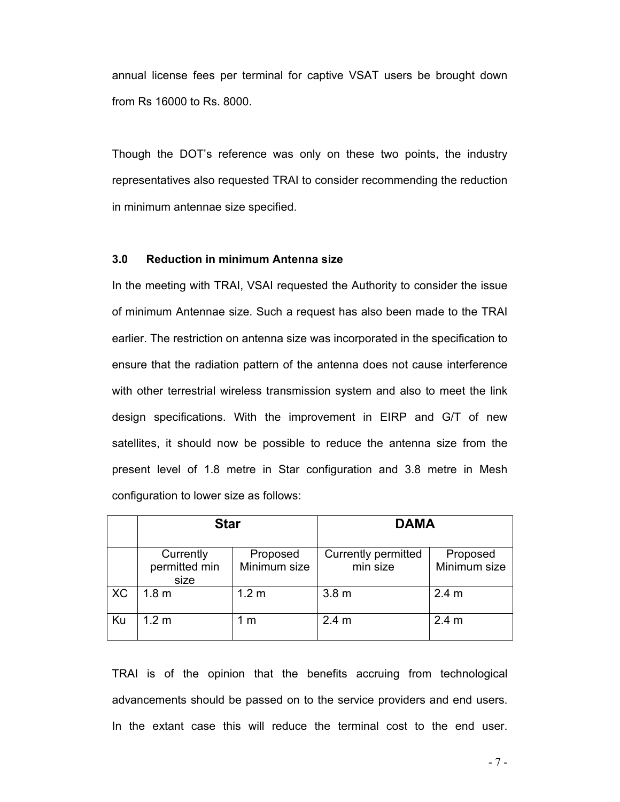annual license fees per terminal for captive VSAT users be brought down from Rs 16000 to Rs. 8000.

Though the DOT's reference was only on these two points, the industry representatives also requested TRAI to consider recommending the reduction in minimum antennae size specified.

#### **3.0 Reduction in minimum Antenna size**

In the meeting with TRAI, VSAI requested the Authority to consider the issue of minimum Antennae size. Such a request has also been made to the TRAI earlier. The restriction on antenna size was incorporated in the specification to ensure that the radiation pattern of the antenna does not cause interference with other terrestrial wireless transmission system and also to meet the link design specifications. With the improvement in EIRP and G/T of new satellites, it should now be possible to reduce the antenna size from the present level of 1.8 metre in Star configuration and 3.8 metre in Mesh configuration to lower size as follows:

|    | <b>Star</b>                        |                          | <b>DAMA</b>                     |                          |
|----|------------------------------------|--------------------------|---------------------------------|--------------------------|
|    | Currently<br>permitted min<br>size | Proposed<br>Minimum size | Currently permitted<br>min size | Proposed<br>Minimum size |
| XC | 1.8 <sub>m</sub>                   | 1.2 <sub>m</sub>         | 3.8 <sub>m</sub>                | 2.4 <sub>m</sub>         |
| Ku | 1.2 <sub>m</sub>                   | 1 m                      | 2.4 <sub>m</sub>                | 2.4 <sub>m</sub>         |

TRAI is of the opinion that the benefits accruing from technological advancements should be passed on to the service providers and end users. In the extant case this will reduce the terminal cost to the end user.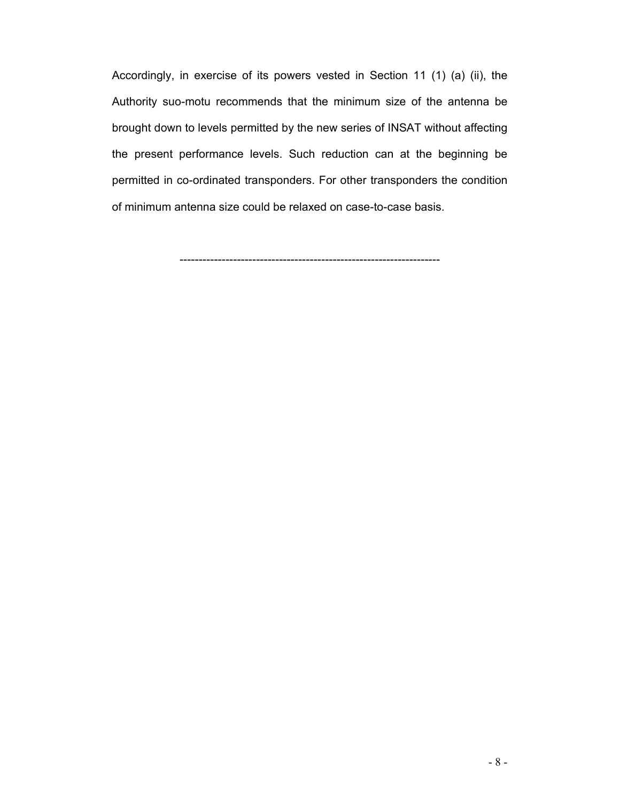Accordingly, in exercise of its powers vested in Section 11 (1) (a) (ii), the Authority suo-motu recommends that the minimum size of the antenna be brought down to levels permitted by the new series of INSAT without affecting the present performance levels. Such reduction can at the beginning be permitted in co-ordinated transponders. For other transponders the condition of minimum antenna size could be relaxed on case-to-case basis.

--------------------------------------------------------------------